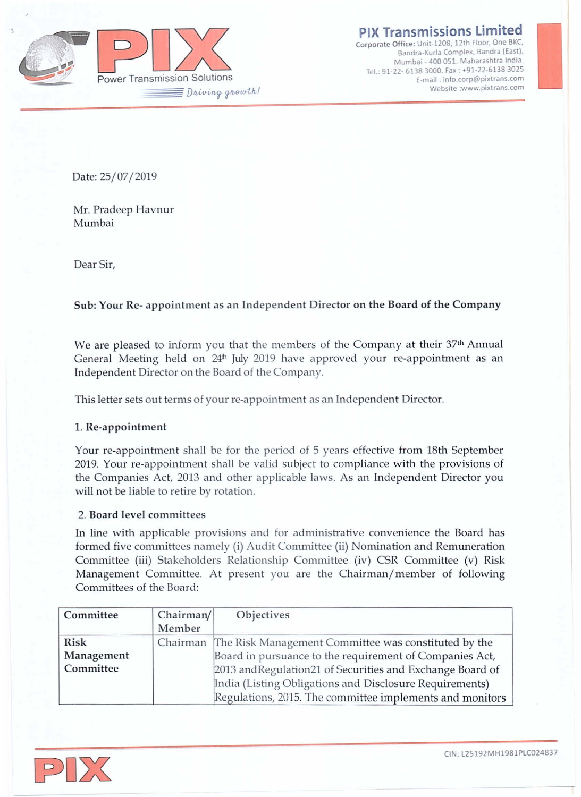

**Corporate Office: Unit-120S, 12th Floor, One BKe. Bandra.Kurla Complex, Bandra (East). Mumbai· 400 051. Maharashtra India.** Tel: 91-22- 6138 3000. Fax: +91-22-6138 3025 **E-mail: [info.corp@pixtrans.com](mailto:info.corp@pixtrans.com) issions Limited**<br> **E-1208, 12th Floor, One BKC,**<br> **urla Complex, Bandra (East),**<br> **400 051. Maharashtra India.**<br> **2000. Fax : +91-22-6138 3025<br>
ail : info.corp@pixtrans.com<br>
Website [:www.pixtrans.com](http://:www.pixtrans.com)** 

Date: 25/07/2019

Mr. Pradeep Havnur Mumbai

Dear Sir,

#### Sub: Your Re- appointment as an Independent Director on the Board of the Company

We are pleased to inform you that the members of the Company at their 37<sup>th</sup> Annual General Meeting held on 24<sup>th</sup> July 2019 have approved your re-appointment as an Independent Director on the Board of the Company.

This letter sets out terms of your re-appointment as an Independent Director.

#### 1. Re-appointment

Your re-appointment shall be for the period of 5 years effective from 18th September 2019. Your re-appointment shall be valid subject to compliance with the provisions of the Companies Act, 2013 and other applicable laws. As an Independent Director you will not be liable to retire by rotation.

#### 2. Board level committees

In line with applicable provisions and for administrative convenience the Board has formed five committees namely (i) Audit Committee (ii) Nomination and Remuneration Committee (iii) Stakeholders Relationship Committee (iv) CSR Committee (v) Risk Management Committee. At present you are the Chairman/member of following Committees of the Board:

| Committee  | Chairman/<br>Member | <b>Objectives</b>                                             |
|------------|---------------------|---------------------------------------------------------------|
| Risk       |                     | Chairman The Risk Management Committee was constituted by the |
| Management |                     | Board in pursuance to the requirement of Companies Act,       |
| Committee  |                     | 2013 and Regulation 21 of Securities and Exchange Board of    |
|            |                     | India (Listing Obligations and Disclosure Requirements)       |
|            |                     | Regulations, 2015. The committee implements and monitors      |

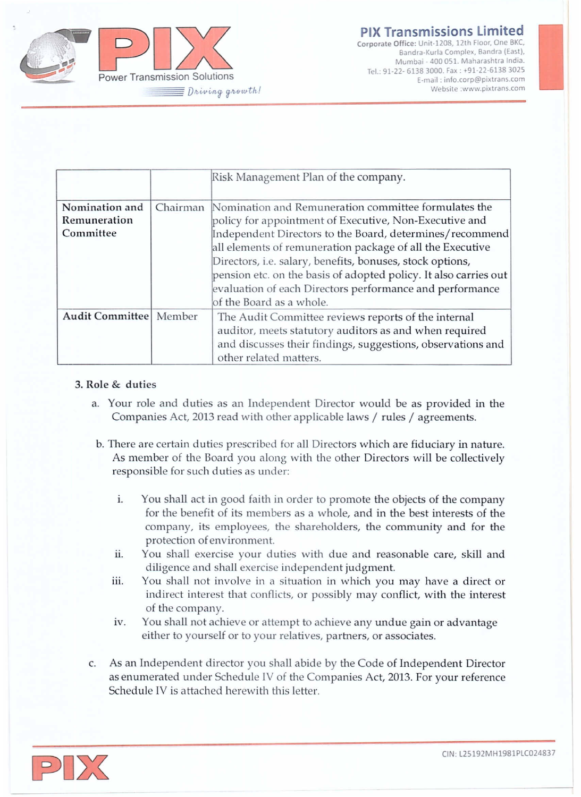

# **PIX Transmissions Limited**

**Corporate Office: Unit-UOS, 12th Floor. One BKe. Bandra-Kurla Complex, Sandra (East), Mumbai - 400 051. Maharashtra India.** Tel: 91-22- 6138 3000. fax: +91-22-6138 3025 **E-mail: [info.corp@pixtrans.com](mailto:info.corp@pixtrans.com) issions Limited**<br> **Example 1208**, 12th Floor, One BKC,<br>
urla Complex, Bandra (East),<br>
400 051. Maharashtra India.<br>
2000. Fax : +91-22-6138 3025<br>
ail : info.corp@pixtrans.com<br>
Website [:www.pixtrans.com](http://:www.pixtrans.com)

|                                             |          | Risk Management Plan of the company.                                                                                                                                                                                                                                               |
|---------------------------------------------|----------|------------------------------------------------------------------------------------------------------------------------------------------------------------------------------------------------------------------------------------------------------------------------------------|
| Nomination and<br>Remuneration<br>Committee | Chairman | Nomination and Remuneration committee formulates the<br>policy for appointment of Executive, Non-Executive and<br>Independent Directors to the Board, determines/recommend                                                                                                         |
|                                             |          | all elements of remuneration package of all the Executive<br>Directors, i.e. salary, benefits, bonuses, stock options,<br>pension etc. on the basis of adopted policy. It also carries out<br>evaluation of each Directors performance and performance<br>of the Board as a whole. |
| Audit Committee Member                      |          | The Audit Committee reviews reports of the internal<br>auditor, meets statutory auditors as and when required<br>and discusses their findings, suggestions, observations and<br>other related matters.                                                                             |

#### 3. Role & duties

- a. Your role and duties as an Independent Director *would* be as provided in the Companies Act, 2013 read with other applicable laws / rules / agreements.
- b. There are certain duties prescribed for all Directors which are fiduciary in nature. As member of the Board you along with the other Directors will be collectively responsible for such duties as under:
	- i. You shall act in good faith in order to promote the objects of the company for the benefit of its members as a whole, and in the best interests of the company, its employees, the shareholders, the community and for the protection of environment.
	- ii. You shall exercise your duties with due and reasonable care, skill and diligence and shall exercise independent judgment.
	- iii. You shall not involve in a situation in which you may have a direct or indirect interest that conflicts, or possibly may conflict, with the interest of the company.
	- iv. You shall not achieve or attempt to achieve any undue gain or advantage either to yourself or to your relatives, partners, or associates.
- c. As an Independent director you shall abide by the Code of Independent Director as enumerated under Schedule IV of the Companies Act, 2013. For your reference Schedule IV is attached herewith this letter.